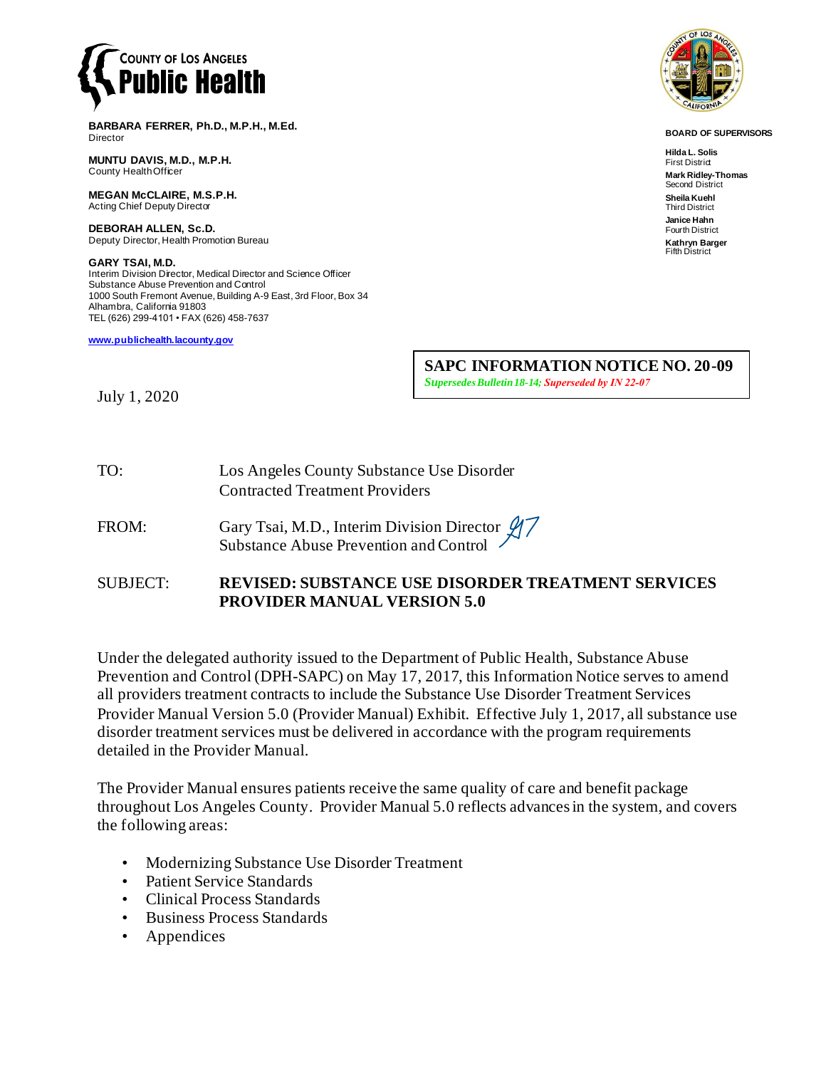

**BARBARA FERRER, Ph.D., M.P.H., M.Ed.** Director

**MUNTU DAVIS, M.D., M.P.H.** County Health Officer

**MEGAN McCLAIRE, M.S.P.H.** Acting Chief Deputy Director

**DEBORAH ALLEN, Sc.D.** Deputy Director, Health Promotion Bureau

**GARY TSAI, M.D.** Interim Division Director, Medical Director and Science Officer Substance Abuse Prevention and Control 1000 South Fremont Avenue, Building A-9 East, 3rd Floor, Box 34 Alhambra, California 91803 TEL (626) 299-4101 • FAX (626) 458-7637

**[www.publichealth.lacounty.gov](http://www.publichealth.lacounty.gov/)**

**SAPC INFORMATION NOTICE NO. 20-09**  *Supersedes Bulletin 18-14; Superseded by IN 22-07*

July 1, 2020

TO: Los Angeles County Substance Use Disorder Contracted Treatment Providers

FROM: Gary Tsai, M.D., Interim Division Director  $\cancel{17}$ Substance Abuse Prevention and Control

SUBJECT: **REVISED: SUBSTANCE USE DISORDER TREATMENT SERVICES PROVIDER MANUAL VERSION 5.0**

Under the delegated authority issued to the Department of Public Health, Substance Abuse Prevention and Control (DPH-SAPC) on May 17, 2017, this Information Notice serves to amend all providers treatment contracts to include the Substance Use Disorder Treatment Services Provider Manual Version 5.0 (Provider Manual) Exhibit. Effective July 1, 2017, all substance use disorder treatment services must be delivered in accordance with the program requirements detailed in the Provider Manual.

The Provider Manual ensures patients receive the same quality of care and benefit package throughout Los Angeles County. Provider Manual 5.0 reflects advances in the system, and covers the following areas:

- Modernizing Substance Use Disorder Treatment
- Patient Service Standards
- Clinical Process Standards
- Business Process Standards
- **Appendices**



**BOARD OF SUPERVISORS**

**Hilda L. Solis First District Mark Ridley-Thomas** Second District **Sheila Kuehl** Third District **Janice Hahn** Fourth District **Kathryn Barger** Fifth District